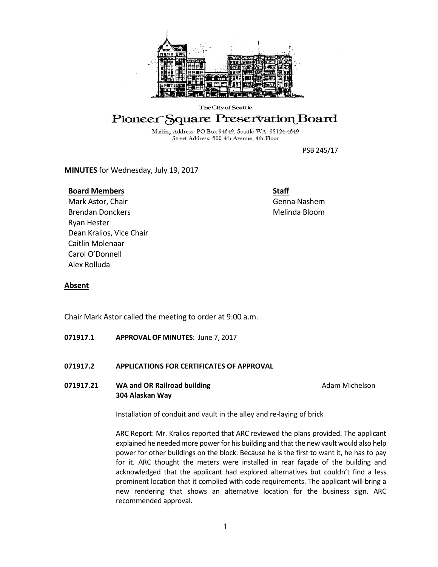

# The City of Seattle Pioneer Square Preservation Board

Mailing Address: PO Box 94649, Seattle WA 98124-4649 Street Address: 600 4th Avenue, 4th Floor

PSB 245/17

**MINUTES** for Wednesday, July 19, 2017

# **Board Members**

**Staff** Genna Nashem Melinda Bloom

Mark Astor, Chair Brendan Donckers Ryan Hester Dean Kralios, Vice Chair Caitlin Molenaar Carol O'Donnell Alex Rolluda

# **Absent**

Chair Mark Astor called the meeting to order at 9:00 a.m.

**071917.1 APPROVAL OF MINUTES**: June 7, 2017

# **071917.2 APPLICATIONS FOR CERTIFICATES OF APPROVAL**

**071917.21 MA and OR Railroad building and Adam Michelson Adam Michelson 304 Alaskan Way**

Installation of conduit and vault in the alley and re-laying of brick

ARC Report: Mr. Kralios reported that ARC reviewed the plans provided. The applicant explained he needed more power for his building and that the new vault would also help power for other buildings on the block. Because he is the first to want it, he has to pay for it. ARC thought the meters were installed in rear façade of the building and acknowledged that the applicant had explored alternatives but couldn't find a less prominent location that it complied with code requirements. The applicant will bring a new rendering that shows an alternative location for the business sign. ARC recommended approval.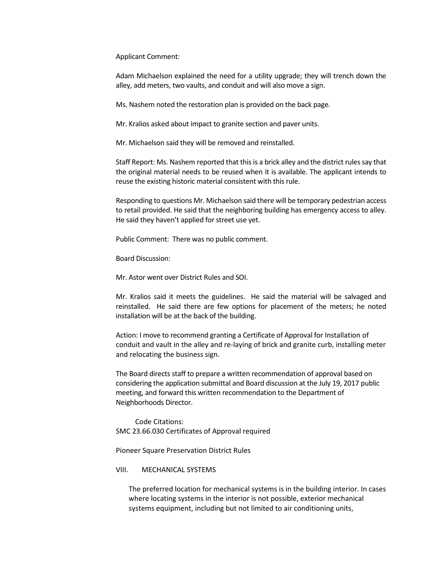Applicant Comment:

Adam Michaelson explained the need for a utility upgrade; they will trench down the alley, add meters, two vaults, and conduit and will also move a sign.

Ms. Nashem noted the restoration plan is provided on the back page.

Mr. Kralios asked about impact to granite section and paver units.

Mr. Michaelson said they will be removed and reinstalled.

Staff Report: Ms. Nashem reported that this is a brick alley and the district rules say that the original material needs to be reused when it is available. The applicant intends to reuse the existing historic material consistent with this rule.

Responding to questions Mr. Michaelson said there will be temporary pedestrian access to retail provided. He said that the neighboring building has emergency access to alley. He said they haven't applied for street use yet.

Public Comment: There was no public comment.

Board Discussion:

Mr. Astor went over District Rules and SOI.

Mr. Kralios said it meets the guidelines. He said the material will be salvaged and reinstalled. He said there are few options for placement of the meters; he noted installation will be at the back of the building.

Action: I move to recommend granting a Certificate of Approval for Installation of conduit and vault in the alley and re-laying of brick and granite curb, installing meter and relocating the business sign.

The Board directs staff to prepare a written recommendation of approval based on considering the application submittal and Board discussion at the July 19, 2017 public meeting, and forward this written recommendation to the Department of Neighborhoods Director.

Code Citations: SMC 23.66.030 Certificates of Approval required

Pioneer Square Preservation District Rules

#### VIII. MECHANICAL SYSTEMS

The preferred location for mechanical systems is in the building interior. In cases where locating systems in the interior is not possible, exterior mechanical systems equipment, including but not limited to air conditioning units,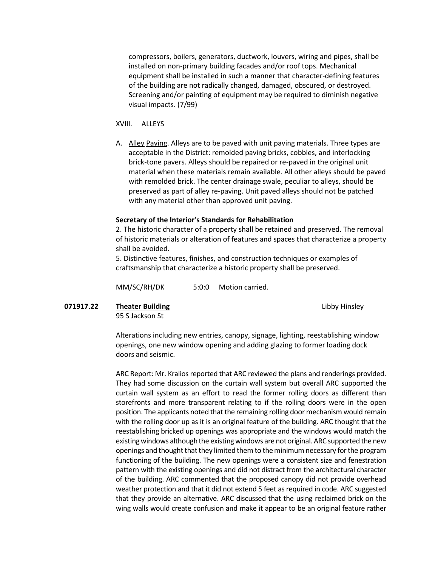compressors, boilers, generators, ductwork, louvers, wiring and pipes, shall be installed on non-primary building facades and/or roof tops. Mechanical equipment shall be installed in such a manner that character-defining features of the building are not radically changed, damaged, obscured, or destroyed. Screening and/or painting of equipment may be required to diminish negative visual impacts. (7/99)

XVIII. ALLEYS

A. Alley Paving. Alleys are to be paved with unit paving materials. Three types are acceptable in the District: remolded paving bricks, cobbles, and interlocking brick-tone pavers. Alleys should be repaired or re-paved in the original unit material when these materials remain available. All other alleys should be paved with remolded brick. The center drainage swale, peculiar to alleys, should be preserved as part of alley re-paving. Unit paved alleys should not be patched with any material other than approved unit paving.

#### **Secretary of the Interior's Standards for Rehabilitation**

2. The historic character of a property shall be retained and preserved. The removal of historic materials or alteration of features and spaces that characterize a property shall be avoided.

5. Distinctive features, finishes, and construction techniques or examples of craftsmanship that characterize a historic property shall be preserved.

MM/SC/RH/DK 5:0:0 Motion carried.

**071917.22 Theater Building Community Community Community Community Community Community Community Community Community Community Community Community Community Community Community Community Community Community Community Comm** 

95 S Jackson St

Alterations including new entries, canopy, signage, lighting, reestablishing window openings, one new window opening and adding glazing to former loading dock doors and seismic.

ARC Report: Mr. Kralios reported that ARC reviewed the plans and renderings provided. They had some discussion on the curtain wall system but overall ARC supported the curtain wall system as an effort to read the former rolling doors as different than storefronts and more transparent relating to if the rolling doors were in the open position. The applicants noted that the remaining rolling door mechanism would remain with the rolling door up as it is an original feature of the building. ARC thought that the reestablishing bricked up openings was appropriate and the windows would match the existing windows although the existing windows are not original. ARC supported the new openings and thought that they limited them to the minimum necessary for the program functioning of the building. The new openings were a consistent size and fenestration pattern with the existing openings and did not distract from the architectural character of the building. ARC commented that the proposed canopy did not provide overhead weather protection and that it did not extend 5 feet as required in code. ARC suggested that they provide an alternative. ARC discussed that the using reclaimed brick on the wing walls would create confusion and make it appear to be an original feature rather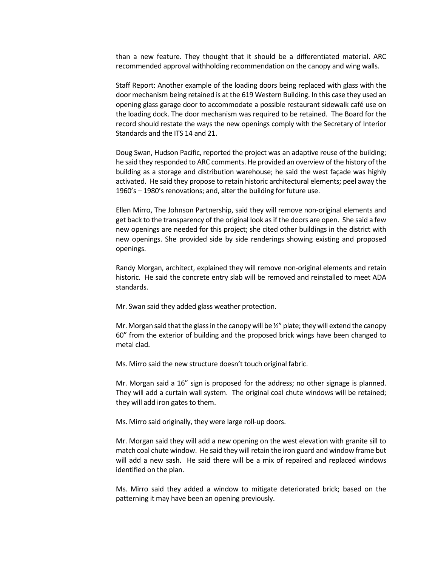than a new feature. They thought that it should be a differentiated material. ARC recommended approval withholding recommendation on the canopy and wing walls.

Staff Report: Another example of the loading doors being replaced with glass with the door mechanism being retained is at the 619 Western Building. In this case they used an opening glass garage door to accommodate a possible restaurant sidewalk café use on the loading dock. The door mechanism was required to be retained. The Board for the record should restate the ways the new openings comply with the Secretary of Interior Standards and the ITS 14 and 21.

Doug Swan, Hudson Pacific, reported the project was an adaptive reuse of the building; he said they responded to ARC comments. He provided an overview of the history of the building as a storage and distribution warehouse; he said the west façade was highly activated. He said they propose to retain historic architectural elements; peel away the 1960's – 1980's renovations; and, alter the building for future use.

Ellen Mirro, The Johnson Partnership, said they will remove non-original elements and get back to the transparency of the original look as if the doors are open. She said a few new openings are needed for this project; she cited other buildings in the district with new openings. She provided side by side renderings showing existing and proposed openings.

Randy Morgan, architect, explained they will remove non-original elements and retain historic. He said the concrete entry slab will be removed and reinstalled to meet ADA standards.

Mr. Swan said they added glass weather protection.

Mr. Morgan said that the glass in the canopy will be  $\frac{1}{2}$ " plate; they will extend the canopy 60" from the exterior of building and the proposed brick wings have been changed to metal clad.

Ms. Mirro said the new structure doesn't touch original fabric.

Mr. Morgan said a 16" sign is proposed for the address; no other signage is planned. They will add a curtain wall system. The original coal chute windows will be retained; they will add iron gates to them.

Ms. Mirro said originally, they were large roll-up doors.

Mr. Morgan said they will add a new opening on the west elevation with granite sill to match coal chute window. He said they will retain the iron guard and window frame but will add a new sash. He said there will be a mix of repaired and replaced windows identified on the plan.

Ms. Mirro said they added a window to mitigate deteriorated brick; based on the patterning it may have been an opening previously.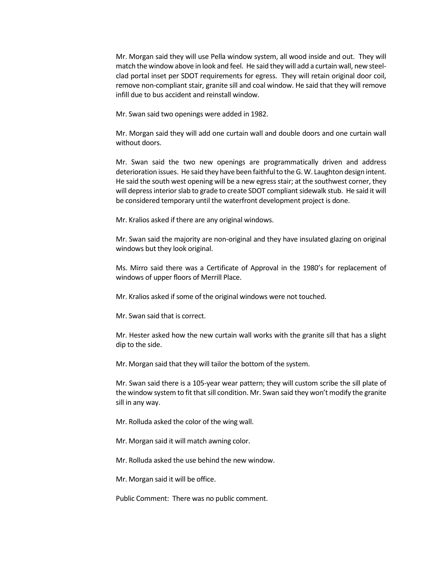Mr. Morgan said they will use Pella window system, all wood inside and out. They will match the window above in look and feel. He said they will add a curtain wall, new steelclad portal inset per SDOT requirements for egress. They will retain original door coil, remove non-compliant stair, granite sill and coal window. He said that they will remove infill due to bus accident and reinstall window.

Mr. Swan said two openings were added in 1982.

Mr. Morgan said they will add one curtain wall and double doors and one curtain wall without doors.

Mr. Swan said the two new openings are programmatically driven and address deterioration issues. He said they have been faithful to the G. W. Laughton design intent. He said the south west opening will be a new egress stair; at the southwest corner, they will depress interior slab to grade to create SDOT compliant sidewalk stub. He said it will be considered temporary until the waterfront development project is done.

Mr. Kralios asked if there are any original windows.

Mr. Swan said the majority are non-original and they have insulated glazing on original windows but they look original.

Ms. Mirro said there was a Certificate of Approval in the 1980's for replacement of windows of upper floors of Merrill Place.

Mr. Kralios asked if some of the original windows were not touched.

Mr. Swan said that is correct.

Mr. Hester asked how the new curtain wall works with the granite sill that has a slight dip to the side.

Mr. Morgan said that they will tailor the bottom of the system.

Mr. Swan said there is a 105-year wear pattern; they will custom scribe the sill plate of the window system to fit that sill condition. Mr. Swan said they won't modify the granite sill in any way.

Mr. Rolluda asked the color of the wing wall.

Mr. Morgan said it will match awning color.

Mr. Rolluda asked the use behind the new window.

Mr. Morgan said it will be office.

Public Comment: There was no public comment.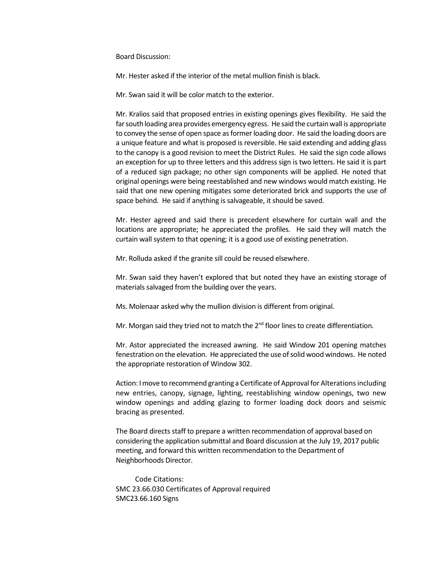Board Discussion:

Mr. Hester asked if the interior of the metal mullion finish is black.

Mr. Swan said it will be color match to the exterior.

Mr. Kralios said that proposed entries in existing openings gives flexibility. He said the far south loading area provides emergency egress. He said the curtain wall is appropriate to convey the sense of open space as former loading door. He said the loading doors are a unique feature and what is proposed is reversible. He said extending and adding glass to the canopy is a good revision to meet the District Rules. He said the sign code allows an exception for up to three letters and this address sign is two letters. He said it is part of a reduced sign package; no other sign components will be applied. He noted that original openings were being reestablished and new windows would match existing. He said that one new opening mitigates some deteriorated brick and supports the use of space behind. He said if anything is salvageable, it should be saved.

Mr. Hester agreed and said there is precedent elsewhere for curtain wall and the locations are appropriate; he appreciated the profiles. He said they will match the curtain wall system to that opening; it is a good use of existing penetration.

Mr. Rolluda asked if the granite sill could be reused elsewhere.

Mr. Swan said they haven't explored that but noted they have an existing storage of materials salvaged from the building over the years.

Ms. Molenaar asked why the mullion division is different from original.

Mr. Morgan said they tried not to match the 2<sup>nd</sup> floor lines to create differentiation.

Mr. Astor appreciated the increased awning. He said Window 201 opening matches fenestration on the elevation. He appreciated the use of solid wood windows. He noted the appropriate restoration of Window 302.

Action: I move to recommend granting a Certificate of Approval for Alterations including new entries, canopy, signage, lighting, reestablishing window openings, two new window openings and adding glazing to former loading dock doors and seismic bracing as presented.

The Board directs staff to prepare a written recommendation of approval based on considering the application submittal and Board discussion at the July 19, 2017 public meeting, and forward this written recommendation to the Department of Neighborhoods Director.

Code Citations: SMC 23.66.030 Certificates of Approval required SMC23.66.160 Signs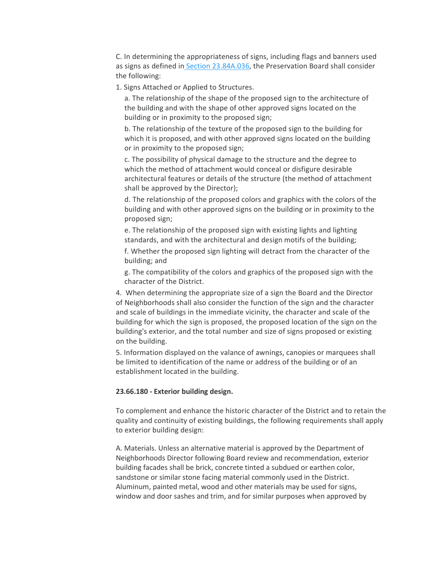C. In determining the appropriateness of signs, including flags and banners used as signs as defined in [Section 23.84A.036,](https://library.municode.com/wa/seattle/codes/municipal_code?nodeId=TIT23LAUSCO_SUBTITLE_IVAD_CH23.84ADE_23.84A.036S) the Preservation Board shall consider the following:

1. Signs Attached or Applied to Structures.

a. The relationship of the shape of the proposed sign to the architecture of the building and with the shape of other approved signs located on the building or in proximity to the proposed sign;

b. The relationship of the texture of the proposed sign to the building for which it is proposed, and with other approved signs located on the building or in proximity to the proposed sign;

c. The possibility of physical damage to the structure and the degree to which the method of attachment would conceal or disfigure desirable architectural features or details of the structure (the method of attachment shall be approved by the Director);

d. The relationship of the proposed colors and graphics with the colors of the building and with other approved signs on the building or in proximity to the proposed sign;

e. The relationship of the proposed sign with existing lights and lighting standards, and with the architectural and design motifs of the building;

f. Whether the proposed sign lighting will detract from the character of the building; and

g. The compatibility of the colors and graphics of the proposed sign with the character of the District.

4. When determining the appropriate size of a sign the Board and the Director of Neighborhoods shall also consider the function of the sign and the character and scale of buildings in the immediate vicinity, the character and scale of the building for which the sign is proposed, the proposed location of the sign on the building's exterior, and the total number and size of signs proposed or existing on the building.

5. Information displayed on the valance of awnings, canopies or marquees shall be limited to identification of the name or address of the building or of an establishment located in the building.

#### **23.66.180 - Exterior building design.**

To complement and enhance the historic character of the District and to retain the quality and continuity of existing buildings, the following requirements shall apply to exterior building design:

A. Materials. Unless an alternative material is approved by the Department of Neighborhoods Director following Board review and recommendation, exterior building facades shall be brick, concrete tinted a subdued or earthen color, sandstone or similar stone facing material commonly used in the District. Aluminum, painted metal, wood and other materials may be used for signs, window and door sashes and trim, and for similar purposes when approved by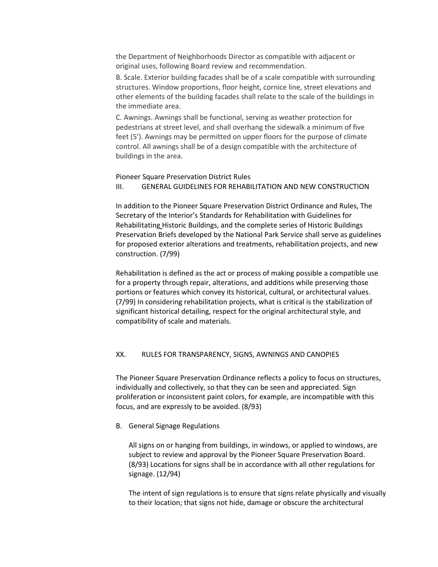the Department of Neighborhoods Director as compatible with adjacent or original uses, following Board review and recommendation.

B. Scale. Exterior building facades shall be of a scale compatible with surrounding structures. Window proportions, floor height, cornice line, street elevations and other elements of the building facades shall relate to the scale of the buildings in the immediate area.

C. Awnings. Awnings shall be functional, serving as weather protection for pedestrians at street level, and shall overhang the sidewalk a minimum of five feet (5'). Awnings may be permitted on upper floors for the purpose of climate control. All awnings shall be of a design compatible with the architecture of buildings in the area.

#### Pioneer Square Preservation District Rules III. GENERAL GUIDELINES FOR REHABILITATION AND NEW CONSTRUCTION

In addition to the Pioneer Square Preservation District Ordinance and Rules, The Secretary of the Interior's Standards for Rehabilitation with Guidelines for Rehabilitating Historic Buildings, and the complete series of Historic Buildings Preservation Briefs developed by the National Park Service shall serve as guidelines for proposed exterior alterations and treatments, rehabilitation projects, and new construction. (7/99)

Rehabilitation is defined as the act or process of making possible a compatible use for a property through repair, alterations, and additions while preserving those portions or features which convey its historical, cultural, or architectural values. (7/99) In considering rehabilitation projects, what is critical is the stabilization of significant historical detailing, respect for the original architectural style, and compatibility of scale and materials.

# XX. RULES FOR TRANSPARENCY, SIGNS, AWNINGS AND CANOPIES

The Pioneer Square Preservation Ordinance reflects a policy to focus on structures, individually and collectively, so that they can be seen and appreciated. Sign proliferation or inconsistent paint colors, for example, are incompatible with this focus, and are expressly to be avoided. (8/93)

B. General Signage Regulations

All signs on or hanging from buildings, in windows, or applied to windows, are subject to review and approval by the Pioneer Square Preservation Board. (8/93) Locations for signs shall be in accordance with all other regulations for signage. (12/94)

The intent of sign regulations is to ensure that signs relate physically and visually to their location; that signs not hide, damage or obscure the architectural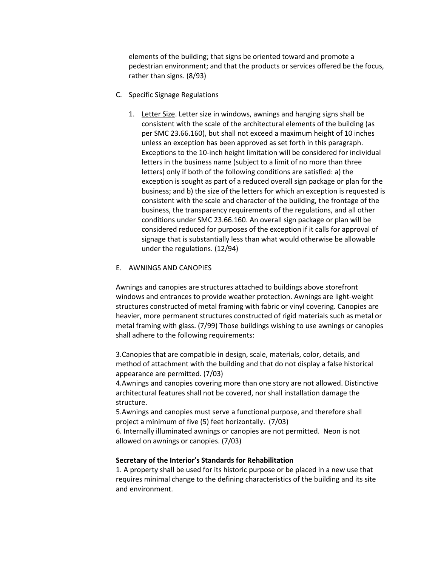elements of the building; that signs be oriented toward and promote a pedestrian environment; and that the products or services offered be the focus, rather than signs. (8/93)

- C. Specific Signage Regulations
	- 1. Letter Size. Letter size in windows, awnings and hanging signs shall be consistent with the scale of the architectural elements of the building (as per SMC 23.66.160), but shall not exceed a maximum height of 10 inches unless an exception has been approved as set forth in this paragraph. Exceptions to the 10-inch height limitation will be considered for individual letters in the business name (subject to a limit of no more than three letters) only if both of the following conditions are satisfied: a) the exception is sought as part of a reduced overall sign package or plan for the business; and b) the size of the letters for which an exception is requested is consistent with the scale and character of the building, the frontage of the business, the transparency requirements of the regulations, and all other conditions under SMC 23.66.160. An overall sign package or plan will be considered reduced for purposes of the exception if it calls for approval of signage that is substantially less than what would otherwise be allowable under the regulations. (12/94)

### E. AWNINGS AND CANOPIES

Awnings and canopies are structures attached to buildings above storefront windows and entrances to provide weather protection. Awnings are light-weight structures constructed of metal framing with fabric or vinyl covering. Canopies are heavier, more permanent structures constructed of rigid materials such as metal or metal framing with glass. (7/99) Those buildings wishing to use awnings or canopies shall adhere to the following requirements:

3.Canopies that are compatible in design, scale, materials, color, details, and method of attachment with the building and that do not display a false historical appearance are permitted. (7/03)

4.Awnings and canopies covering more than one story are not allowed. Distinctive architectural features shall not be covered, nor shall installation damage the structure.

5.Awnings and canopies must serve a functional purpose, and therefore shall project a minimum of five (5) feet horizontally. (7/03)

6. Internally illuminated awnings or canopies are not permitted. Neon is not allowed on awnings or canopies. (7/03)

# **Secretary of the Interior's Standards for Rehabilitation**

1. A property shall be used for its historic purpose or be placed in a new use that requires minimal change to the defining characteristics of the building and its site and environment.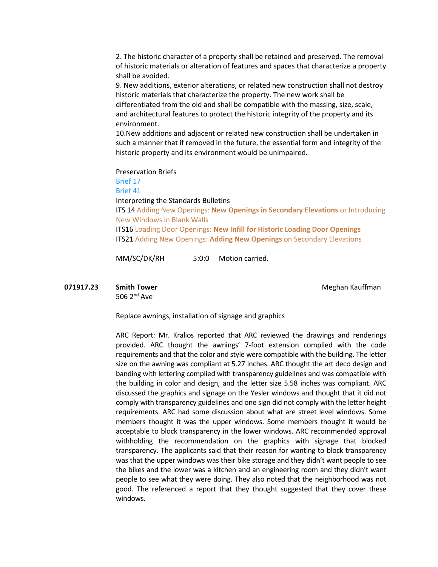2. The historic character of a property shall be retained and preserved. The removal of historic materials or alteration of features and spaces that characterize a property shall be avoided.

9. New additions, exterior alterations, or related new construction shall not destroy historic materials that characterize the property. The new work shall be differentiated from the old and shall be compatible with the massing, size, scale, and architectural features to protect the historic integrity of the property and its environment.

10.New additions and adjacent or related new construction shall be undertaken in such a manner that if removed in the future, the essential form and integrity of the historic property and its environment would be unimpaired.

Preservation Briefs

[Brief 17](https://www.nps.gov/tps/how-to-preserve/briefs/17-architectural-character.htm)

[Brief 41](https://www.nps.gov/tps/how-to-preserve/briefs/41-seismic-retrofit.htm)

Interpreting the Standards Bulletins

ITS 14 Adding New Openings: **[New Openings in Secondary Elevations](https://www.nps.gov/tps/standards/applying-rehabilitation/its-bulletins/ITS14-Adding-NewOpenings.pdf)** or Introducing [New Windows in Blank Walls](https://www.nps.gov/tps/standards/applying-rehabilitation/its-bulletins/ITS14-Adding-NewOpenings.pdf) ITS16 Loading Door Openings: **[New Infill for Historic Loading Door Openings](https://www.nps.gov/tps/standards/applying-rehabilitation/its-bulletins/ITS16-LoadingDoor.pdf)**

ITS21 Adding New Openings: **Adding New Openings** [on Secondary Elevations](https://www.nps.gov/tps/standards/applying-rehabilitation/its-bulletins/ITS21-NewOpenings-SecondaryElevations.pdf)

MM/SC/DK/RH 5:0:0 Motion carried.

### **071917.23 Smith Tower Meghan Kauffman**

506 2nd Ave

Replace awnings, installation of signage and graphics

ARC Report: Mr. Kralios reported that ARC reviewed the drawings and renderings provided. ARC thought the awnings' 7-foot extension complied with the code requirements and that the color and style were compatible with the building. The letter size on the awning was compliant at 5.27 inches. ARC thought the art deco design and banding with lettering complied with transparency guidelines and was compatible with the building in color and design, and the letter size 5.58 inches was compliant. ARC discussed the graphics and signage on the Yesler windows and thought that it did not comply with transparency guidelines and one sign did not comply with the letter height requirements. ARC had some discussion about what are street level windows. Some members thought it was the upper windows. Some members thought it would be acceptable to block transparency in the lower windows. ARC recommended approval withholding the recommendation on the graphics with signage that blocked transparency. The applicants said that their reason for wanting to block transparency was that the upper windows was their bike storage and they didn't want people to see the bikes and the lower was a kitchen and an engineering room and they didn't want people to see what they were doing. They also noted that the neighborhood was not good. The referenced a report that they thought suggested that they cover these windows.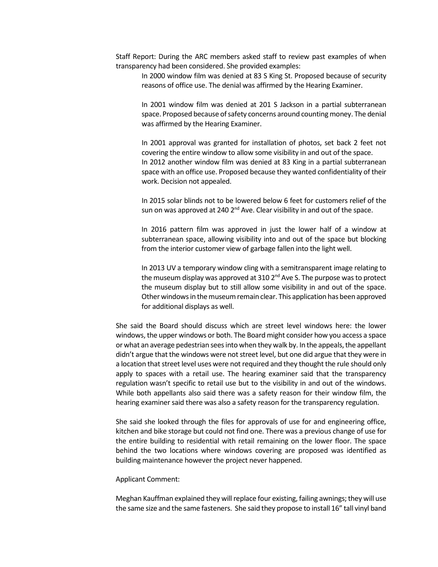Staff Report: During the ARC members asked staff to review past examples of when transparency had been considered. She provided examples:

In 2000 window film was denied at 83 S King St. Proposed because of security reasons of office use. The denial was affirmed by the Hearing Examiner.

In 2001 window film was denied at 201 S Jackson in a partial subterranean space. Proposed because of safety concerns around counting money. The denial was affirmed by the Hearing Examiner.

In 2001 approval was granted for installation of photos, set back 2 feet not covering the entire window to allow some visibility in and out of the space. In 2012 another window film was denied at 83 King in a partial subterranean space with an office use. Proposed because they wanted confidentiality of their work. Decision not appealed.

In 2015 solar blinds not to be lowered below 6 feet for customers relief of the sun on was approved at 240  $2^{nd}$  Ave. Clear visibility in and out of the space.

In 2016 pattern film was approved in just the lower half of a window at subterranean space, allowing visibility into and out of the space but blocking from the interior customer view of garbage fallen into the light well.

In 2013 UV a temporary window cling with a semitransparent image relating to the museum display was approved at  $310\,2^{nd}$  Ave S. The purpose was to protect the museum display but to still allow some visibility in and out of the space. Other windows in the museum remain clear. This application has been approved for additional displays as well.

She said the Board should discuss which are street level windows here: the lower windows, the upper windows or both. The Board might consider how you access a space or what an average pedestrian sees into when they walk by. In the appeals, the appellant didn't argue that the windows were not street level, but one did argue that they were in a location that street level uses were not required and they thought the rule should only apply to spaces with a retail use. The hearing examiner said that the transparency regulation wasn't specific to retail use but to the visibility in and out of the windows. While both appellants also said there was a safety reason for their window film, the hearing examiner said there was also a safety reason for the transparency regulation.

She said she looked through the files for approvals of use for and engineering office, kitchen and bike storage but could not find one. There was a previous change of use for the entire building to residential with retail remaining on the lower floor. The space behind the two locations where windows covering are proposed was identified as building maintenance however the project never happened.

#### Applicant Comment:

Meghan Kauffman explained they will replace four existing, failing awnings; they will use the same size and the same fasteners. She said they propose to install 16" tall vinyl band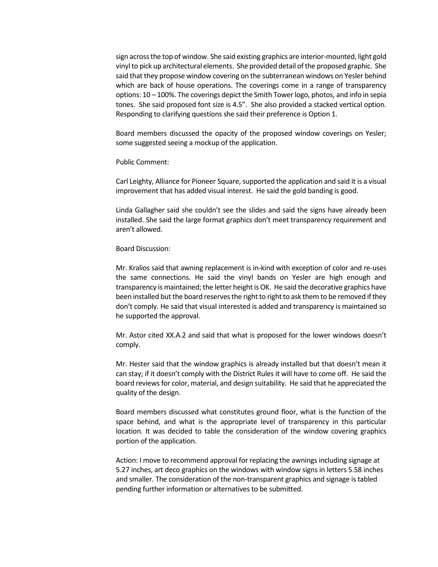sign across the top of window. She said existing graphics are interior-mounted, light gold vinyl to pick up architectural elements. She provided detail of the proposed graphic. She said that they propose window covering on the subterranean windows on Yesler behind which are back of house operations. The coverings come in a range of transparency options: 10 – 100%. The coverings depict the Smith Tower logo, photos, and info in sepia tones. She said proposed font size is 4.5". She also provided a stacked vertical option. Responding to clarifying questions she said their preference is Option 1.

Board members discussed the opacity of the proposed window coverings on Yesler; some suggested seeing a mockup of the application.

Public Comment:

Carl Leighty, Alliance for Pioneer Square, supported the application and said it is a visual improvement that has added visual interest. He said the gold banding is good.

Linda Gallagher said she couldn't see the slides and said the signs have already been installed. She said the large format graphics don't meet transparency requirement and aren't allowed.

#### Board Discussion:

Mr. Kralios said that awning replacement is in-kind with exception of color and re-uses the same connections. He said the vinyl bands on Yesler are high enough and transparency is maintained; the letter height is OK. He said the decorative graphics have been installed but the board reserves the right to right to ask them to be removed if they don't comply. He said that visual interested is added and transparency is maintained so he supported the approval.

Mr. Astor cited XX.A.2 and said that what is proposed for the lower windows doesn't comply.

Mr. Hester said that the window graphics is already installed but that doesn't mean it can stay; if it doesn't comply with the District Rules it will have to come off. He said the board reviews for color, material, and design suitability. He said that he appreciated the quality of the design.

Board members discussed what constitutes ground floor, what is the function of the space behind, and what is the appropriate level of transparency in this particular location. It was decided to table the consideration of the window covering graphics portion of the application.

Action: I move to recommend approval for replacing the awnings including signage at 5.27 inches, art deco graphics on the windows with window signs in letters 5.58 inches and smaller. The consideration of the non-transparent graphics and signage is tabled pending further information or alternatives to be submitted.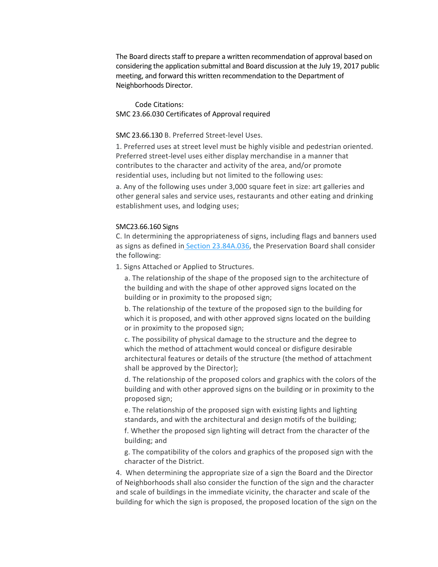The Board directs staff to prepare a written recommendation of approval based on considering the application submittal and Board discussion at the July 19, 2017 public meeting, and forward this written recommendation to the Department of Neighborhoods Director.

Code Citations: SMC 23.66.030 Certificates of Approval required

#### SMC 23.66.130 B. Preferred Street-level Uses.

1. Preferred uses at street level must be highly visible and pedestrian oriented. Preferred street-level uses either display merchandise in a manner that contributes to the character and activity of the area, and/or promote residential uses, including but not limited to the following uses:

a. Any of the following uses under 3,000 square feet in size: art galleries and other general sales and service uses, restaurants and other eating and drinking establishment uses, and lodging uses;

#### SMC23.66.160 Signs

C. In determining the appropriateness of signs, including flags and banners used as signs as defined in [Section 23.84A.036,](https://library.municode.com/wa/seattle/codes/municipal_code?nodeId=TIT23LAUSCO_SUBTITLE_IVAD_CH23.84ADE_23.84A.036S) the Preservation Board shall consider the following:

1. Signs Attached or Applied to Structures.

a. The relationship of the shape of the proposed sign to the architecture of the building and with the shape of other approved signs located on the building or in proximity to the proposed sign;

b. The relationship of the texture of the proposed sign to the building for which it is proposed, and with other approved signs located on the building or in proximity to the proposed sign;

c. The possibility of physical damage to the structure and the degree to which the method of attachment would conceal or disfigure desirable architectural features or details of the structure (the method of attachment shall be approved by the Director);

d. The relationship of the proposed colors and graphics with the colors of the building and with other approved signs on the building or in proximity to the proposed sign;

e. The relationship of the proposed sign with existing lights and lighting standards, and with the architectural and design motifs of the building;

f. Whether the proposed sign lighting will detract from the character of the building; and

g. The compatibility of the colors and graphics of the proposed sign with the character of the District.

4. When determining the appropriate size of a sign the Board and the Director of Neighborhoods shall also consider the function of the sign and the character and scale of buildings in the immediate vicinity, the character and scale of the building for which the sign is proposed, the proposed location of the sign on the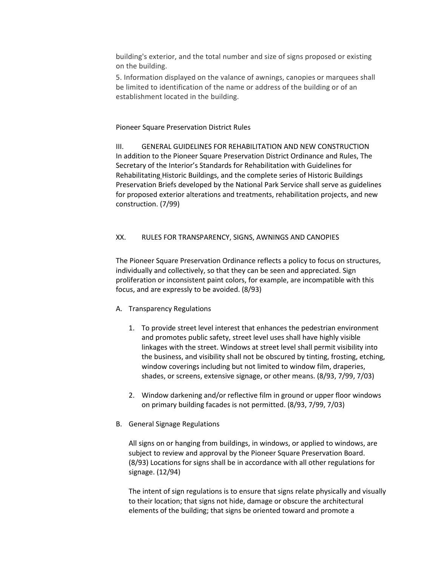building's exterior, and the total number and size of signs proposed or existing on the building.

5. Information displayed on the valance of awnings, canopies or marquees shall be limited to identification of the name or address of the building or of an establishment located in the building.

### Pioneer Square Preservation District Rules

III. GENERAL GUIDELINES FOR REHABILITATION AND NEW CONSTRUCTION In addition to the Pioneer Square Preservation District Ordinance and Rules, The Secretary of the Interior's Standards for Rehabilitation with Guidelines for Rehabilitating Historic Buildings, and the complete series of Historic Buildings Preservation Briefs developed by the National Park Service shall serve as guidelines for proposed exterior alterations and treatments, rehabilitation projects, and new construction. (7/99)

### XX. RULES FOR TRANSPARENCY, SIGNS, AWNINGS AND CANOPIES

The Pioneer Square Preservation Ordinance reflects a policy to focus on structures, individually and collectively, so that they can be seen and appreciated. Sign proliferation or inconsistent paint colors, for example, are incompatible with this focus, and are expressly to be avoided. (8/93)

### A. Transparency Regulations

- 1. To provide street level interest that enhances the pedestrian environment and promotes public safety, street level uses shall have highly visible linkages with the street. Windows at street level shall permit visibility into the business, and visibility shall not be obscured by tinting, frosting, etching, window coverings including but not limited to window film, draperies, shades, or screens, extensive signage, or other means. (8/93, 7/99, 7/03)
- 2. Window darkening and/or reflective film in ground or upper floor windows on primary building facades is not permitted. (8/93, 7/99, 7/03)
- B. General Signage Regulations

All signs on or hanging from buildings, in windows, or applied to windows, are subject to review and approval by the Pioneer Square Preservation Board. (8/93) Locations for signs shall be in accordance with all other regulations for signage. (12/94)

The intent of sign regulations is to ensure that signs relate physically and visually to their location; that signs not hide, damage or obscure the architectural elements of the building; that signs be oriented toward and promote a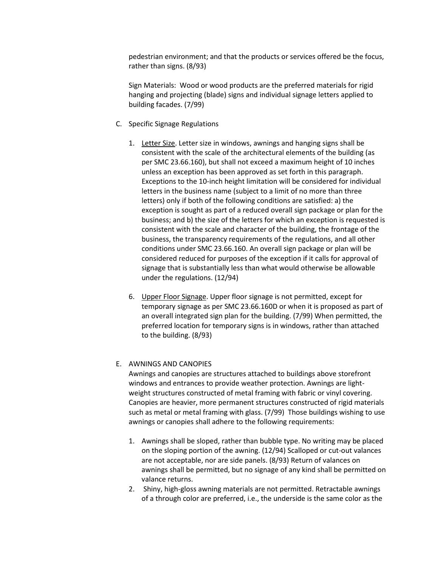pedestrian environment; and that the products or services offered be the focus, rather than signs. (8/93)

Sign Materials: Wood or wood products are the preferred materials for rigid hanging and projecting (blade) signs and individual signage letters applied to building facades. (7/99)

- C. Specific Signage Regulations
	- 1. Letter Size. Letter size in windows, awnings and hanging signs shall be consistent with the scale of the architectural elements of the building (as per SMC 23.66.160), but shall not exceed a maximum height of 10 inches unless an exception has been approved as set forth in this paragraph. Exceptions to the 10-inch height limitation will be considered for individual letters in the business name (subject to a limit of no more than three letters) only if both of the following conditions are satisfied: a) the exception is sought as part of a reduced overall sign package or plan for the business; and b) the size of the letters for which an exception is requested is consistent with the scale and character of the building, the frontage of the business, the transparency requirements of the regulations, and all other conditions under SMC 23.66.160. An overall sign package or plan will be considered reduced for purposes of the exception if it calls for approval of signage that is substantially less than what would otherwise be allowable under the regulations. (12/94)
	- 6. Upper Floor Signage. Upper floor signage is not permitted, except for temporary signage as per SMC 23.66.160D or when it is proposed as part of an overall integrated sign plan for the building. (7/99) When permitted, the preferred location for temporary signs is in windows, rather than attached to the building. (8/93)

#### E. AWNINGS AND CANOPIES

Awnings and canopies are structures attached to buildings above storefront windows and entrances to provide weather protection. Awnings are lightweight structures constructed of metal framing with fabric or vinyl covering. Canopies are heavier, more permanent structures constructed of rigid materials such as metal or metal framing with glass. (7/99) Those buildings wishing to use awnings or canopies shall adhere to the following requirements:

- 1. Awnings shall be sloped, rather than bubble type. No writing may be placed on the sloping portion of the awning. (12/94) Scalloped or cut-out valances are not acceptable, nor are side panels. (8/93) Return of valances on awnings shall be permitted, but no signage of any kind shall be permitted on valance returns.
- 2. Shiny, high-gloss awning materials are not permitted. Retractable awnings of a through color are preferred, i.e., the underside is the same color as the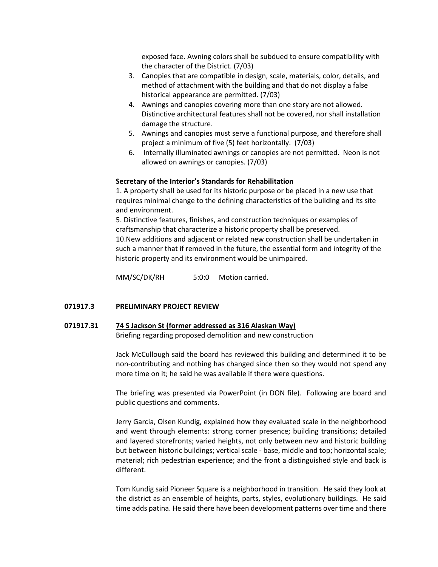exposed face. Awning colors shall be subdued to ensure compatibility with the character of the District. (7/03)

- 3. Canopies that are compatible in design, scale, materials, color, details, and method of attachment with the building and that do not display a false historical appearance are permitted. (7/03)
- 4. Awnings and canopies covering more than one story are not allowed. Distinctive architectural features shall not be covered, nor shall installation damage the structure.
- 5. Awnings and canopies must serve a functional purpose, and therefore shall project a minimum of five (5) feet horizontally. (7/03)
- 6. Internally illuminated awnings or canopies are not permitted. Neon is not allowed on awnings or canopies. (7/03)

### **Secretary of the Interior's Standards for Rehabilitation**

1. A property shall be used for its historic purpose or be placed in a new use that requires minimal change to the defining characteristics of the building and its site and environment.

5. Distinctive features, finishes, and construction techniques or examples of craftsmanship that characterize a historic property shall be preserved. 10.New additions and adjacent or related new construction shall be undertaken in such a manner that if removed in the future, the essential form and integrity of the historic property and its environment would be unimpaired.

MM/SC/DK/RH 5:0:0 Motion carried.

### **071917.3 PRELIMINARY PROJECT REVIEW**

# **071917.31 74 S Jackson St (former addressed as 316 Alaskan Way)** Briefing regarding proposed demolition and new construction

Jack McCullough said the board has reviewed this building and determined it to be non-contributing and nothing has changed since then so they would not spend any more time on it; he said he was available if there were questions.

The briefing was presented via PowerPoint (in DON file). Following are board and public questions and comments.

Jerry Garcia, Olsen Kundig, explained how they evaluated scale in the neighborhood and went through elements: strong corner presence; building transitions; detailed and layered storefronts; varied heights, not only between new and historic building but between historic buildings; vertical scale - base, middle and top; horizontal scale; material; rich pedestrian experience; and the front a distinguished style and back is different.

Tom Kundig said Pioneer Square is a neighborhood in transition. He said they look at the district as an ensemble of heights, parts, styles, evolutionary buildings. He said time adds patina. He said there have been development patterns over time and there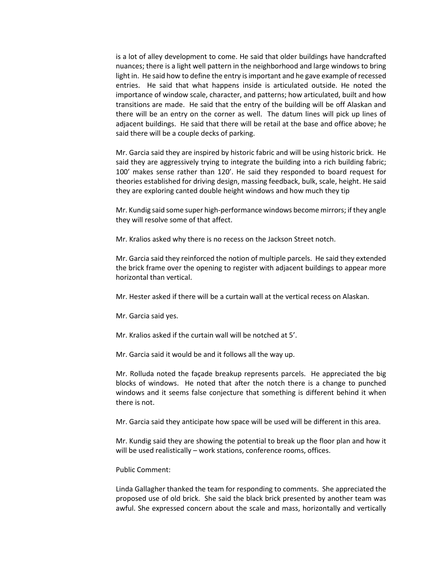is a lot of alley development to come. He said that older buildings have handcrafted nuances; there is a light well pattern in the neighborhood and large windows to bring light in. He said how to define the entry is important and he gave example of recessed entries. He said that what happens inside is articulated outside. He noted the importance of window scale, character, and patterns; how articulated, built and how transitions are made. He said that the entry of the building will be off Alaskan and there will be an entry on the corner as well. The datum lines will pick up lines of adjacent buildings. He said that there will be retail at the base and office above; he said there will be a couple decks of parking.

Mr. Garcia said they are inspired by historic fabric and will be using historic brick. He said they are aggressively trying to integrate the building into a rich building fabric; 100' makes sense rather than 120'. He said they responded to board request for theories established for driving design, massing feedback, bulk, scale, height. He said they are exploring canted double height windows and how much they tip

Mr. Kundig said some super high-performance windows become mirrors; if they angle they will resolve some of that affect.

Mr. Kralios asked why there is no recess on the Jackson Street notch.

Mr. Garcia said they reinforced the notion of multiple parcels. He said they extended the brick frame over the opening to register with adjacent buildings to appear more horizontal than vertical.

Mr. Hester asked if there will be a curtain wall at the vertical recess on Alaskan.

Mr. Garcia said yes.

Mr. Kralios asked if the curtain wall will be notched at 5'.

Mr. Garcia said it would be and it follows all the way up.

Mr. Rolluda noted the façade breakup represents parcels. He appreciated the big blocks of windows. He noted that after the notch there is a change to punched windows and it seems false conjecture that something is different behind it when there is not.

Mr. Garcia said they anticipate how space will be used will be different in this area.

Mr. Kundig said they are showing the potential to break up the floor plan and how it will be used realistically – work stations, conference rooms, offices.

Public Comment:

Linda Gallagher thanked the team for responding to comments. She appreciated the proposed use of old brick. She said the black brick presented by another team was awful. She expressed concern about the scale and mass, horizontally and vertically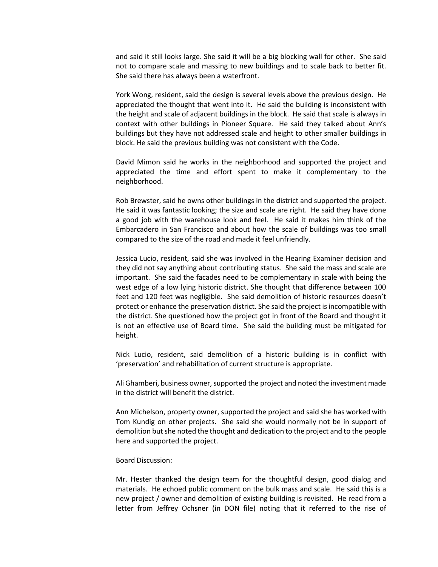and said it still looks large. She said it will be a big blocking wall for other. She said not to compare scale and massing to new buildings and to scale back to better fit. She said there has always been a waterfront.

York Wong, resident, said the design is several levels above the previous design. He appreciated the thought that went into it. He said the building is inconsistent with the height and scale of adjacent buildings in the block. He said that scale is always in context with other buildings in Pioneer Square. He said they talked about Ann's buildings but they have not addressed scale and height to other smaller buildings in block. He said the previous building was not consistent with the Code.

David Mimon said he works in the neighborhood and supported the project and appreciated the time and effort spent to make it complementary to the neighborhood.

Rob Brewster, said he owns other buildings in the district and supported the project. He said it was fantastic looking; the size and scale are right. He said they have done a good job with the warehouse look and feel. He said it makes him think of the Embarcadero in San Francisco and about how the scale of buildings was too small compared to the size of the road and made it feel unfriendly.

Jessica Lucio, resident, said she was involved in the Hearing Examiner decision and they did not say anything about contributing status. She said the mass and scale are important. She said the facades need to be complementary in scale with being the west edge of a low lying historic district. She thought that difference between 100 feet and 120 feet was negligible. She said demolition of historic resources doesn't protect or enhance the preservation district. She said the project is incompatible with the district. She questioned how the project got in front of the Board and thought it is not an effective use of Board time. She said the building must be mitigated for height.

Nick Lucio, resident, said demolition of a historic building is in conflict with 'preservation' and rehabilitation of current structure is appropriate.

Ali Ghamberi, business owner, supported the project and noted the investment made in the district will benefit the district.

Ann Michelson, property owner, supported the project and said she has worked with Tom Kundig on other projects. She said she would normally not be in support of demolition but she noted the thought and dedication to the project and to the people here and supported the project.

#### Board Discussion:

Mr. Hester thanked the design team for the thoughtful design, good dialog and materials. He echoed public comment on the bulk mass and scale. He said this is a new project / owner and demolition of existing building is revisited. He read from a letter from Jeffrey Ochsner (in DON file) noting that it referred to the rise of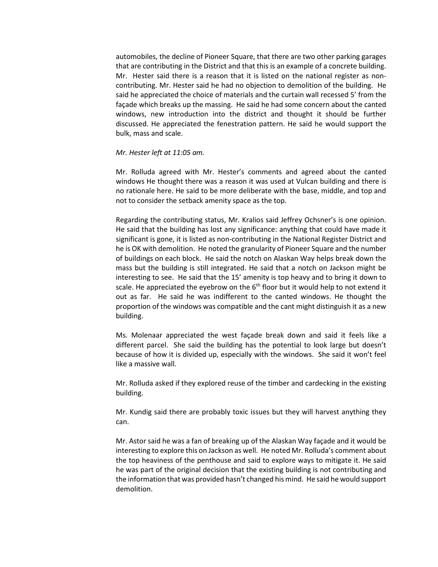automobiles, the decline of Pioneer Square, that there are two other parking garages that are contributing in the District and that this is an example of a concrete building. Mr. Hester said there is a reason that it is listed on the national register as noncontributing. Mr. Hester said he had no objection to demolition of the building. He said he appreciated the choice of materials and the curtain wall recessed 5' from the façade which breaks up the massing. He said he had some concern about the canted windows, new introduction into the district and thought it should be further discussed. He appreciated the fenestration pattern. He said he would support the bulk, mass and scale.

#### *Mr. Hester left at 11:05 am.*

Mr. Rolluda agreed with Mr. Hester's comments and agreed about the canted windows He thought there was a reason it was used at Vulcan building and there is no rationale here. He said to be more deliberate with the base, middle, and top and not to consider the setback amenity space as the top.

Regarding the contributing status, Mr. Kralios said Jeffrey Ochsner's is one opinion. He said that the building has lost any significance: anything that could have made it significant is gone, it is listed as non-contributing in the National Register District and he is OK with demolition. He noted the granularity of Pioneer Square and the number of buildings on each block. He said the notch on Alaskan Way helps break down the mass but the building is still integrated. He said that a notch on Jackson might be interesting to see. He said that the 15' amenity is top heavy and to bring it down to scale. He appreciated the eyebrow on the  $6<sup>th</sup>$  floor but it would help to not extend it out as far. He said he was indifferent to the canted windows. He thought the proportion of the windows was compatible and the cant might distinguish it as a new building.

Ms. Molenaar appreciated the west façade break down and said it feels like a different parcel. She said the building has the potential to look large but doesn't because of how it is divided up, especially with the windows. She said it won't feel like a massive wall.

Mr. Rolluda asked if they explored reuse of the timber and cardecking in the existing building.

Mr. Kundig said there are probably toxic issues but they will harvest anything they can.

Mr. Astor said he was a fan of breaking up of the Alaskan Way façade and it would be interesting to explore this on Jackson as well. He noted Mr. Rolluda's comment about the top heaviness of the penthouse and said to explore ways to mitigate it. He said he was part of the original decision that the existing building is not contributing and the information that was provided hasn't changed his mind. He said he would support demolition.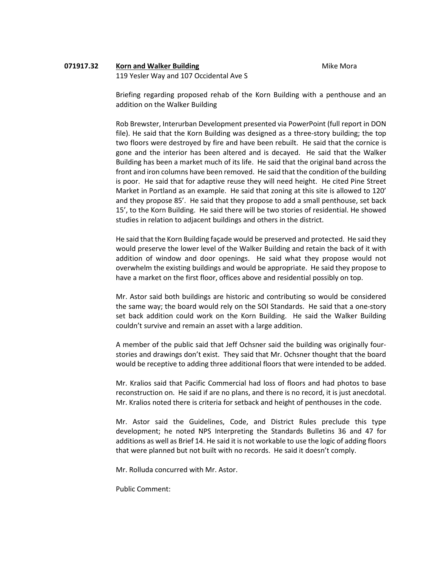# **071917.32 •• Korn and Walker Building Milletter Accord Mike Mora**

119 Yesler Way and 107 Occidental Ave S

Briefing regarding proposed rehab of the Korn Building with a penthouse and an addition on the Walker Building

Rob Brewster, Interurban Development presented via PowerPoint (full report in DON file). He said that the Korn Building was designed as a three-story building; the top two floors were destroyed by fire and have been rebuilt. He said that the cornice is gone and the interior has been altered and is decayed. He said that the Walker Building has been a market much of its life. He said that the original band across the front and iron columns have been removed. He said that the condition of the building is poor. He said that for adaptive reuse they will need height. He cited Pine Street Market in Portland as an example. He said that zoning at this site is allowed to 120' and they propose 85'. He said that they propose to add a small penthouse, set back 15', to the Korn Building. He said there will be two stories of residential. He showed studies in relation to adjacent buildings and others in the district.

He said that the Korn Building façade would be preserved and protected. He said they would preserve the lower level of the Walker Building and retain the back of it with addition of window and door openings. He said what they propose would not overwhelm the existing buildings and would be appropriate. He said they propose to have a market on the first floor, offices above and residential possibly on top.

Mr. Astor said both buildings are historic and contributing so would be considered the same way; the board would rely on the SOI Standards. He said that a one-story set back addition could work on the Korn Building. He said the Walker Building couldn't survive and remain an asset with a large addition.

A member of the public said that Jeff Ochsner said the building was originally fourstories and drawings don't exist. They said that Mr. Ochsner thought that the board would be receptive to adding three additional floors that were intended to be added.

Mr. Kralios said that Pacific Commercial had loss of floors and had photos to base reconstruction on. He said if are no plans, and there is no record, it is just anecdotal. Mr. Kralios noted there is criteria for setback and height of penthouses in the code.

Mr. Astor said the Guidelines, Code, and District Rules preclude this type development; he noted NPS Interpreting the Standards Bulletins 36 and 47 for additions as well as Brief 14. He said it is not workable to use the logic of adding floors that were planned but not built with no records. He said it doesn't comply.

Mr. Rolluda concurred with Mr. Astor.

Public Comment: